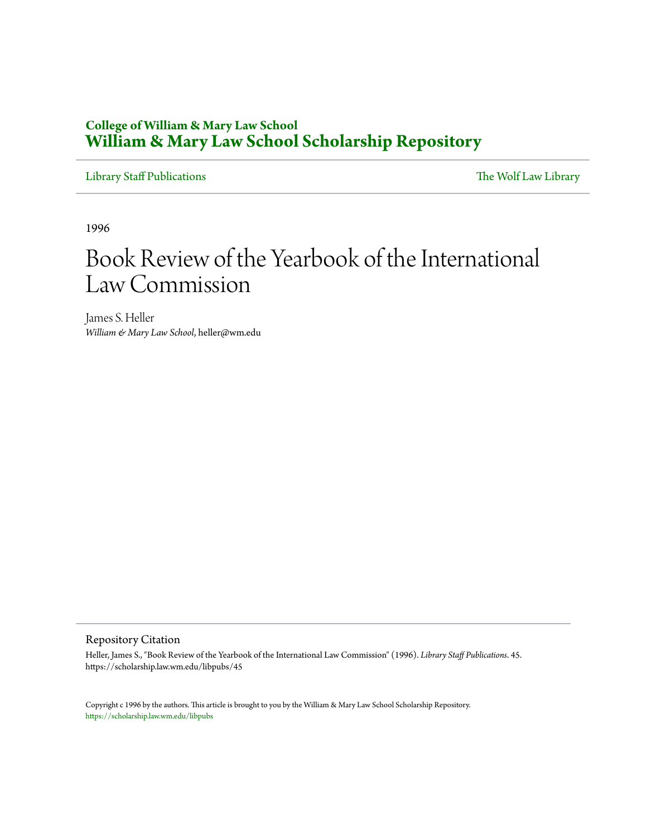## **College of William & Mary Law School [William & Mary Law School Scholarship Repository](https://scholarship.law.wm.edu)**

[Library Staff Publications](https://scholarship.law.wm.edu/libpubs) [The Wolf Law Library](https://scholarship.law.wm.edu/library)

1996

## Book Review of the Yearbook of the International Law Commission

James S. Heller *William & Mary Law School*, heller@wm.edu

## Repository Citation

Heller, James S., "Book Review of the Yearbook of the International Law Commission" (1996). *Library Staff Publications*. 45. https://scholarship.law.wm.edu/libpubs/45

Copyright c 1996 by the authors. This article is brought to you by the William & Mary Law School Scholarship Repository. <https://scholarship.law.wm.edu/libpubs>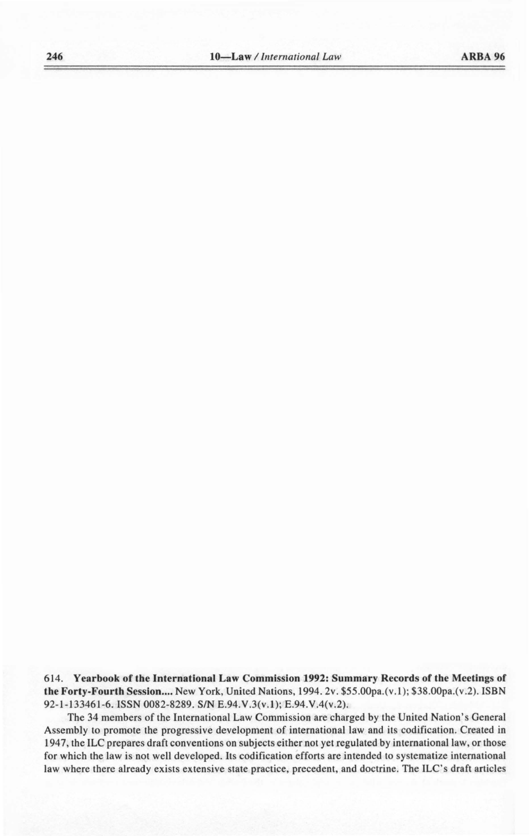614. **Yearbook of the International Law Commission 1992: Summary Records of the Meetings of the Forty-Fourth Session....** New York, United Nations, 1994. 2v. \$55.00pa.(v.1); \$38.00pa.(v.2). ISBN 92-1-133461-6.ISSN 0082-8289. *SIN* E.94.V.3(v.l); E.94.V.4(v.2).

The 34 members of the International Law Commission are charged by the United Nation's General Assembly to promote the progressive development of international law and its codification. Created in 1947, the ILC prepares draft conventions on subjects either not yet regulated by international law, or those for which the law is not well developed. Its codification efforts are intended to systematize international law where there already exists extensive state practice, precedent, and doctrine. The ILC's draft articles